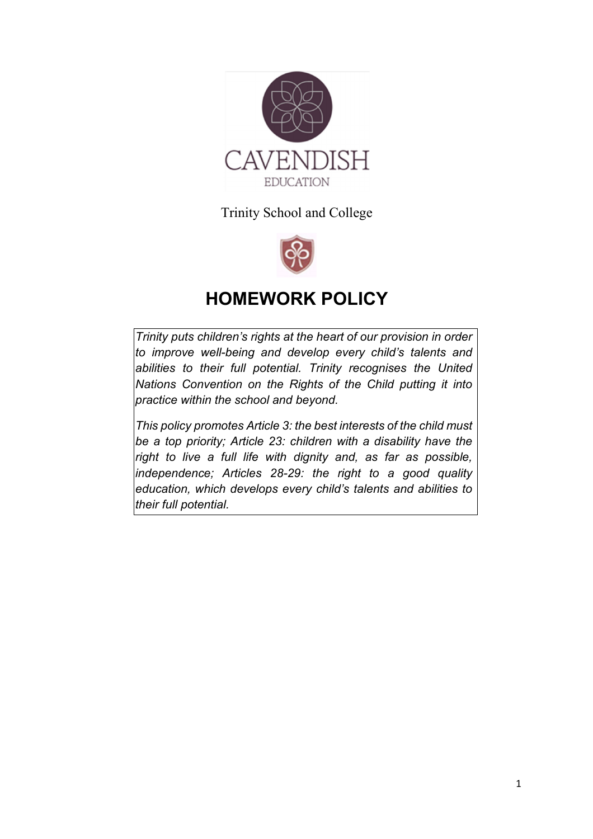

Trinity School and College



# **HOMEWORK POLICY**

*Trinity puts children's rights at the heart of our provision in order to improve well-being and develop every child's talents and abilities to their full potential. Trinity recognises the United Nations Convention on the Rights of the Child putting it into practice within the school and beyond.* 

*This policy promotes Article 3: the best interests of the child must be a top priority; Article 23: children with a disability have the right to live a full life with dignity and, as far as possible, independence; Articles 28-29: the right to a good quality education, which develops every child's talents and abilities to their full potential.*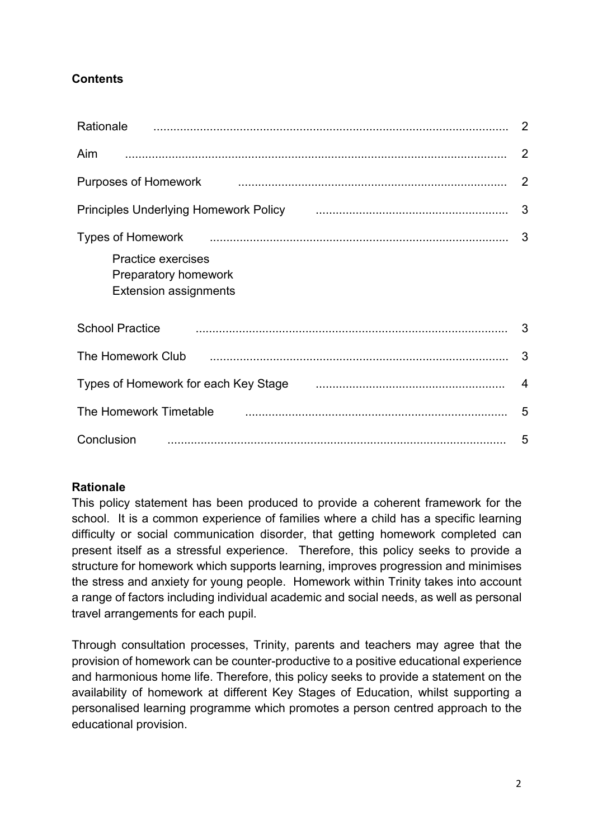# **Contents**

| Rationale                                                                                                                                                                                                                                                                                                         |                |
|-------------------------------------------------------------------------------------------------------------------------------------------------------------------------------------------------------------------------------------------------------------------------------------------------------------------|----------------|
| <b>Aim</b>                                                                                                                                                                                                                                                                                                        | 2              |
| $\sim$ 2<br>Purposes of Homework                                                                                                                                                                                                                                                                                  |                |
| Principles Underlying Homework Policy [10] [10] [10] [10] [10] [10] Principles Underlying Homework Policy [10]                                                                                                                                                                                                    |                |
| Types of Homework <b>contract and the Community</b> means and the contract contract and the contract of the contract of the contract of the contract of the contract of the contract of the contract of the contract of the contrac<br>Practice exercises<br>Preparatory homework<br><b>Extension assignments</b> |                |
| <b>School Practice</b>                                                                                                                                                                                                                                                                                            |                |
| The Homework Club                                                                                                                                                                                                                                                                                                 | $\mathbf{3}$   |
| Types of Homework for each Key Stage <b>Communical Contract Contract Contract Contract Contract Contract Contract</b>                                                                                                                                                                                             | $\overline{4}$ |
| The Homework Timetable                                                                                                                                                                                                                                                                                            |                |
| Conclusion                                                                                                                                                                                                                                                                                                        |                |

# **Rationale**

This policy statement has been produced to provide a coherent framework for the school. It is a common experience of families where a child has a specific learning difficulty or social communication disorder, that getting homework completed can present itself as a stressful experience. Therefore, this policy seeks to provide a structure for homework which supports learning, improves progression and minimises the stress and anxiety for young people. Homework within Trinity takes into account a range of factors including individual academic and social needs, as well as personal travel arrangements for each pupil.

Through consultation processes, Trinity, parents and teachers may agree that the provision of homework can be counter-productive to a positive educational experience and harmonious home life. Therefore, this policy seeks to provide a statement on the availability of homework at different Key Stages of Education, whilst supporting a personalised learning programme which promotes a person centred approach to the educational provision.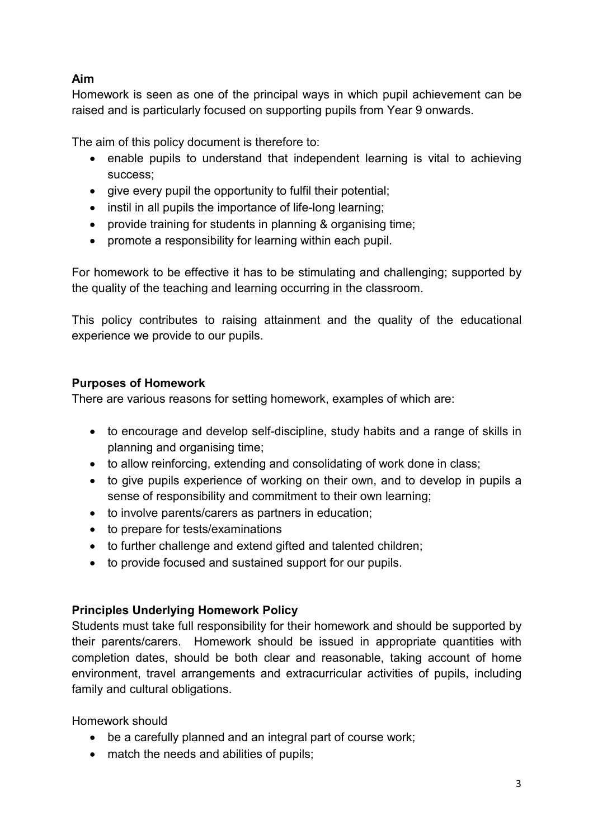# **Aim**

Homework is seen as one of the principal ways in which pupil achievement can be raised and is particularly focused on supporting pupils from Year 9 onwards.

The aim of this policy document is therefore to:

- enable pupils to understand that independent learning is vital to achieving success;
- give every pupil the opportunity to fulfil their potential;
- instil in all pupils the importance of life-long learning;
- provide training for students in planning & organising time;
- promote a responsibility for learning within each pupil.

For homework to be effective it has to be stimulating and challenging; supported by the quality of the teaching and learning occurring in the classroom.

This policy contributes to raising attainment and the quality of the educational experience we provide to our pupils.

# **Purposes of Homework**

There are various reasons for setting homework, examples of which are:

- to encourage and develop self-discipline, study habits and a range of skills in planning and organising time;
- to allow reinforcing, extending and consolidating of work done in class:
- to give pupils experience of working on their own, and to develop in pupils a sense of responsibility and commitment to their own learning;
- to involve parents/carers as partners in education;
- to prepare for tests/examinations
- to further challenge and extend gifted and talented children;
- to provide focused and sustained support for our pupils.

# **Principles Underlying Homework Policy**

Students must take full responsibility for their homework and should be supported by their parents/carers. Homework should be issued in appropriate quantities with completion dates, should be both clear and reasonable, taking account of home environment, travel arrangements and extracurricular activities of pupils, including family and cultural obligations.

Homework should

- be a carefully planned and an integral part of course work;
- match the needs and abilities of pupils;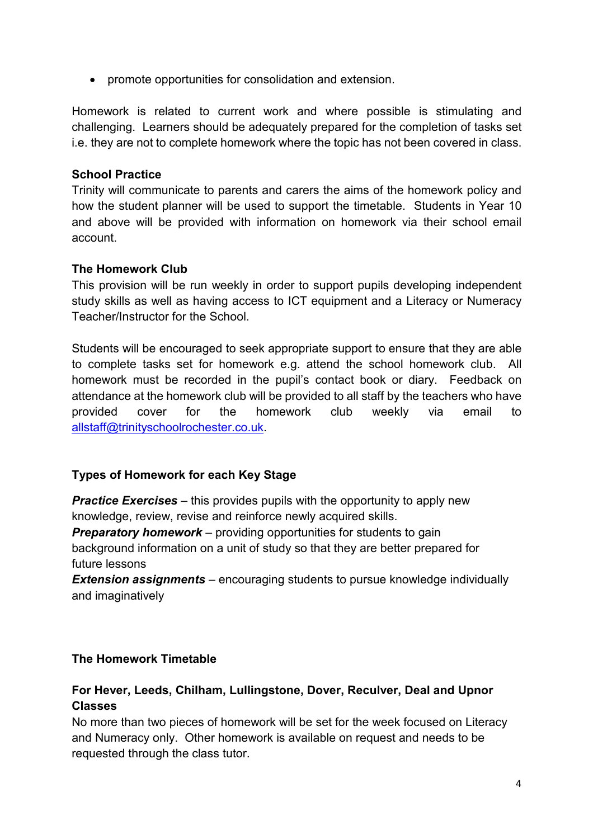promote opportunities for consolidation and extension.

Homework is related to current work and where possible is stimulating and challenging. Learners should be adequately prepared for the completion of tasks set i.e. they are not to complete homework where the topic has not been covered in class.

## **School Practice**

Trinity will communicate to parents and carers the aims of the homework policy and how the student planner will be used to support the timetable. Students in Year 10 and above will be provided with information on homework via their school email account.

#### **The Homework Club**

This provision will be run weekly in order to support pupils developing independent study skills as well as having access to ICT equipment and a Literacy or Numeracy Teacher/Instructor for the School.

Students will be encouraged to seek appropriate support to ensure that they are able to complete tasks set for homework e.g. attend the school homework club. All homework must be recorded in the pupil's contact book or diary. Feedback on attendance at the homework club will be provided to all staff by the teachers who have provided cover for the homework club weekly via email to allstaff@trinityschoolrochester.co.uk.

## **Types of Homework for each Key Stage**

*Practice Exercises* – this provides pupils with the opportunity to apply new knowledge, review, revise and reinforce newly acquired skills.

*Preparatory homework – providing opportunities for students to gain* background information on a unit of study so that they are better prepared for future lessons

*Extension assignments* – encouraging students to pursue knowledge individually and imaginatively

## **The Homework Timetable**

## **For Hever, Leeds, Chilham, Lullingstone, Dover, Reculver, Deal and Upnor Classes**

No more than two pieces of homework will be set for the week focused on Literacy and Numeracy only. Other homework is available on request and needs to be requested through the class tutor.